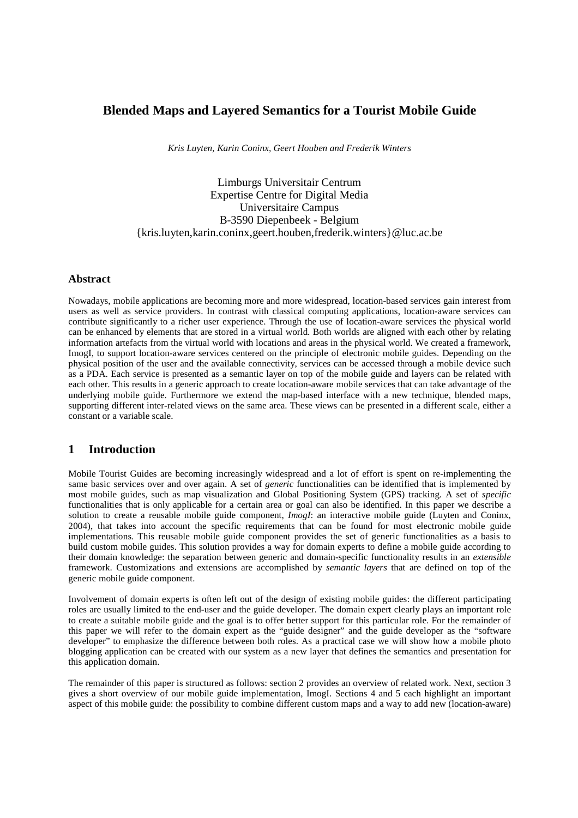# **Blended Maps and Layered Semantics for a Tourist Mobile Guide**

*Kris Luyten, Karin Coninx, Geert Houben and Frederik Winters*

Limburgs Universitair Centrum Expertise Centre for Digital Media Universitaire Campus B-3590 Diepenbeek - Belgium {kris.luyten,karin.coninx,geert.houben,frederik.winters}@luc.ac.be

#### **Abstract**

Nowadays, mobile applications are becoming more and more widespread, location-based services gain interest from users as well as service providers. In contrast with classical computing applications, location-aware services can contribute significantly to a richer user experience. Through the use of location-aware services the physical world can be enhanced by elements that are stored in a virtual world. Both worlds are aligned with each other by relating information artefacts from the virtual world with locations and areas in the physical world. We created a framework, ImogI, to support location-aware services centered on the principle of electronic mobile guides. Depending on the physical position of the user and the available connectivity, services can be accessed through a mobile device such as a PDA. Each service is presented as a semantic layer on top of the mobile guide and layers can be related with each other. This results in a generic approach to create location-aware mobile services that can take advantage of the underlying mobile guide. Furthermore we extend the map-based interface with a new technique, blended maps, supporting different inter-related views on the same area. These views can be presented in a different scale, either a constant or a variable scale.

#### **1 Introduction**

Mobile Tourist Guides are becoming increasingly widespread and a lot of effort is spent on re-implementing the same basic services over and over again. A set of *generic* functionalities can be identified that is implemented by most mobile guides, such as map visualization and Global Positioning System (GPS) tracking. A set of *specific* functionalities that is only applicable for a certain area or goal can also be identified. In this paper we describe a solution to create a reusable mobile guide component, *ImogI*: an interactive mobile guide (Luyten and Coninx, 2004), that takes into account the specific requirements that can be found for most electronic mobile guide implementations. This reusable mobile guide component provides the set of generic functionalities as a basis to build custom mobile guides. This solution provides a way for domain experts to define a mobile guide according to their domain knowledge: the separation between generic and domain-specific functionality results in an *extensible* framework. Customizations and extensions are accomplished by *semantic layers* that are defined on top of the generic mobile guide component.

Involvement of domain experts is often left out of the design of existing mobile guides: the different participating roles are usually limited to the end-user and the guide developer. The domain expert clearly plays an important role to create a suitable mobile guide and the goal is to offer better support for this particular role. For the remainder of this paper we will refer to the domain expert as the "guide designer" and the guide developer as the "software developer" to emphasize the difference between both roles. As a practical case we will show how a mobile photo blogging application can be created with our system as a new layer that defines the semantics and presentation for this application domain.

The remainder of this paper is structured as follows: section 2 provides an overview of related work. Next, section 3 gives a short overview of our mobile guide implementation, ImogI. Sections 4 and 5 each highlight an important aspect of this mobile guide: the possibility to combine different custom maps and a way to add new (location-aware)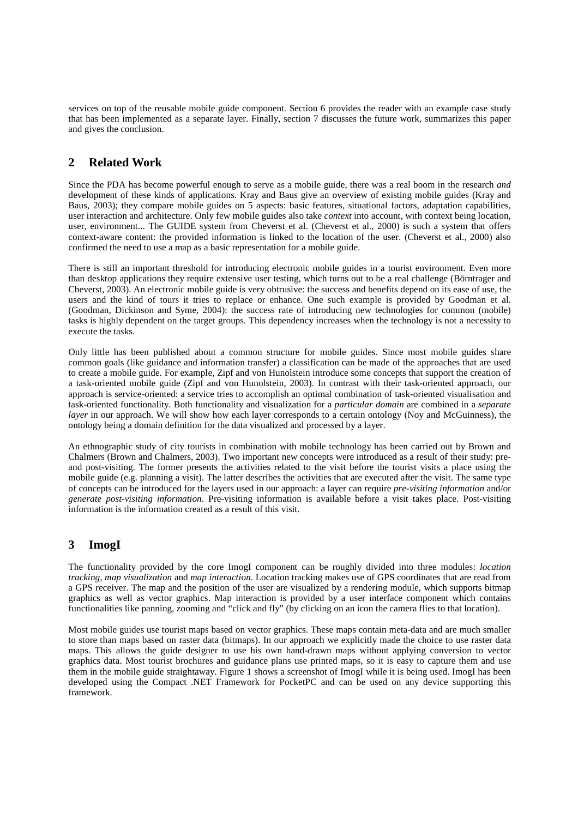services on top of the reusable mobile guide component. Section 6 provides the reader with an example case study that has been implemented as a separate layer. Finally, section 7 discusses the future work, summarizes this paper and gives the conclusion.

# **2 Related Work**

Since the PDA has become powerful enough to serve as a mobile guide, there was a real boom in the research *and* development of these kinds of applications. Kray and Baus give an overview of existing mobile guides (Kray and Baus, 2003); they compare mobile guides on 5 aspects: basic features, situational factors, adaptation capabilities, user interaction and architecture. Only few mobile guides also take *context* into account, with context being location, user, environment... The GUIDE system from Cheverst et al. (Cheverst et al., 2000) is such a system that offers context-aware content: the provided information is linked to the location of the user. (Cheverst et al., 2000) also confirmed the need to use a map as a basic representation for a mobile guide.

There is still an important threshold for introducing electronic mobile guides in a tourist environment. Even more than desktop applications they require extensive user testing, which turns out to be a real challenge (Börntrager and Cheverst, 2003). An electronic mobile guide is very obtrusive: the success and benefits depend on its ease of use, the users and the kind of tours it tries to replace or enhance. One such example is provided by Goodman et al. (Goodman, Dickinson and Syme, 2004): the success rate of introducing new technologies for common (mobile) tasks is highly dependent on the target groups. This dependency increases when the technology is not a necessity to execute the tasks.

Only little has been published about a common structure for mobile guides. Since most mobile guides share common goals (like guidance and information transfer) a classification can be made of the approaches that are used to create a mobile guide. For example, Zipf and von Hunolstein introduce some concepts that support the creation of a task-oriented mobile guide (Zipf and von Hunolstein, 2003). In contrast with their task-oriented approach, our approach is service-oriented: a service tries to accomplish an optimal combination of task-oriented visualisation and task-oriented functionality. Both functionality and visualization for a *particular domain* are combined in a *separate layer* in our approach. We will show how each layer corresponds to a certain ontology (Noy and McGuinness), the ontology being a domain definition for the data visualized and processed by a layer.

An ethnographic study of city tourists in combination with mobile technology has been carried out by Brown and Chalmers (Brown and Chalmers, 2003). Two important new concepts were introduced as a result of their study: preand post-visiting. The former presents the activities related to the visit before the tourist visits a place using the mobile guide (e.g. planning a visit). The latter describes the activities that are executed after the visit. The same type of concepts can be introduced for the layers used in our approach: a layer can require *pre-visiting information* and/or *generate post-visiting information*. Pre-visiting information is available before a visit takes place. Post-visiting information is the information created as a result of this visit.

# **3 ImogI**

The functionality provided by the core ImogI component can be roughly divided into three modules: *location tracking*, *map visualization* and *map interaction*. Location tracking makes use of GPS coordinates that are read from a GPS receiver. The map and the position of the user are visualized by a rendering module, which supports bitmap graphics as well as vector graphics. Map interaction is provided by a user interface component which contains functionalities like panning, zooming and "click and fly" (by clicking on an icon the camera flies to that location).

Most mobile guides use tourist maps based on vector graphics. These maps contain meta-data and are much smaller to store than maps based on raster data (bitmaps). In our approach we explicitly made the choice to use raster data maps. This allows the guide designer to use his own hand-drawn maps without applying conversion to vector graphics data. Most tourist brochures and guidance plans use printed maps, so it is easy to capture them and use them in the mobile guide straightaway. Figure 1 shows a screenshot of ImogI while it is being used. ImogI has been developed using the Compact .NET Framework for PocketPC and can be used on any device supporting this framework.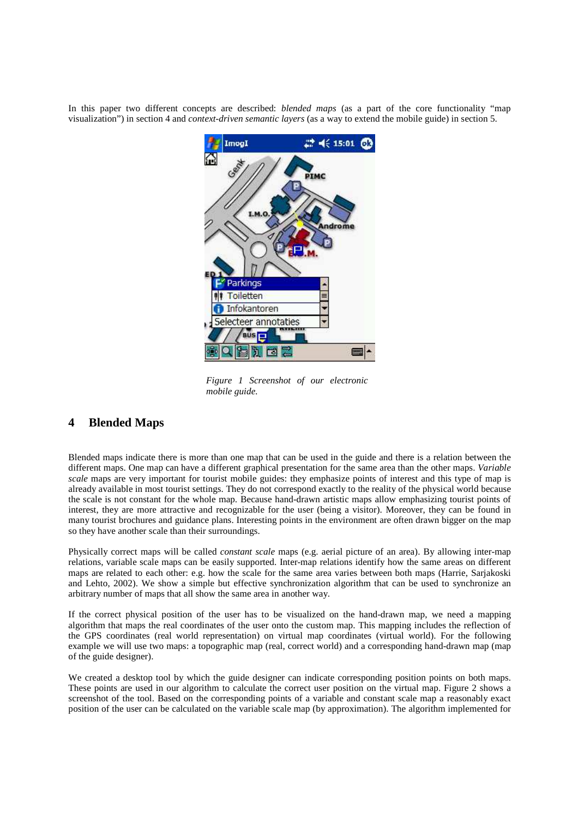In this paper two different concepts are described: *blended maps* (as a part of the core functionality "map visualization") in section 4 and *context-driven semantic layers* (as a way to extend the mobile guide) in section 5.



*Figure 1 Screenshot of our electronic mobile guide.*

### **4 Blended Maps**

Blended maps indicate there is more than one map that can be used in the guide and there is a relation between the different maps. One map can have a different graphical presentation for the same area than the other maps. *Variable scale* maps are very important for tourist mobile guides: they emphasize points of interest and this type of map is already available in most tourist settings. They do not correspond exactly to the reality of the physical world because the scale is not constant for the whole map. Because hand-drawn artistic maps allow emphasizing tourist points of interest, they are more attractive and recognizable for the user (being a visitor). Moreover, they can be found in many tourist brochures and guidance plans. Interesting points in the environment are often drawn bigger on the map so they have another scale than their surroundings.

Physically correct maps will be called *constant scale* maps (e.g. aerial picture of an area). By allowing inter-map relations, variable scale maps can be easily supported. Inter-map relations identify how the same areas on different maps are related to each other: e.g. how the scale for the same area varies between both maps (Harrie, Sarjakoski and Lehto, 2002). We show a simple but effective synchronization algorithm that can be used to synchronize an arbitrary number of maps that all show the same area in another way.

If the correct physical position of the user has to be visualized on the hand-drawn map, we need a mapping algorithm that maps the real coordinates of the user onto the custom map. This mapping includes the reflection of the GPS coordinates (real world representation) on virtual map coordinates (virtual world). For the following example we will use two maps: a topographic map (real, correct world) and a corresponding hand-drawn map (map of the guide designer).

We created a desktop tool by which the guide designer can indicate corresponding position points on both maps. These points are used in our algorithm to calculate the correct user position on the virtual map. Figure 2 shows a screenshot of the tool. Based on the corresponding points of a variable and constant scale map a reasonably exact position of the user can be calculated on the variable scale map (by approximation). The algorithm implemented for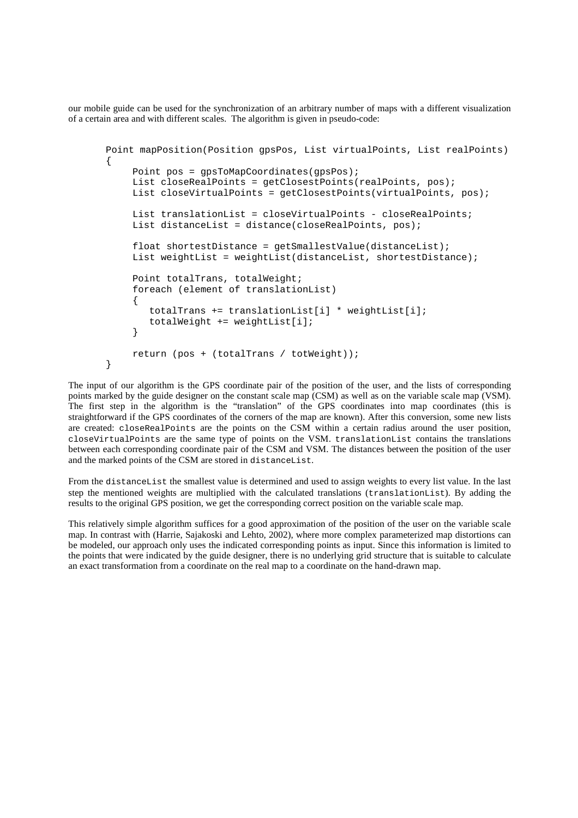our mobile guide can be used for the synchronization of an arbitrary number of maps with a different visualization of a certain area and with different scales. The algorithm is given in pseudo-code:

```
Point mapPosition(Position gpsPos, List virtualPoints, List realPoints)
{
    Point pos = gpsToMapCoordinates(gpsPos);
    List closeRealPoints = qetClosestPoints(realPoints, pos);
    List closeVirtualPoints = qetClosestPoints(virtualPoints, pos);
    List translationList = closeVirtualPoints - closeRealPoints;
    List distanceList = distance(closeRealPoints, pos);
    float shortestDistance = getSmallestValue(distanceList);
    List weightList = weightList(distanceList, shortestDistance);
    Point totalTrans, totalWeight;
    foreach (element of translationList)
    {
       totalTrans += translationList[i] * weightList[i];
       totalWeight += weightList[i];
    }
    return (pos + (totalTrans / totWeight));
}
```
The input of our algorithm is the GPS coordinate pair of the position of the user, and the lists of corresponding points marked by the guide designer on the constant scale map (CSM) as well as on the variable scale map (VSM). The first step in the algorithm is the "translation" of the GPS coordinates into map coordinates (this is straightforward if the GPS coordinates of the corners of the map are known). After this conversion, some new lists are created: closeRealPoints are the points on the CSM within a certain radius around the user position, closeVirtualPoints are the same type of points on the VSM. translationList contains the translations between each corresponding coordinate pair of the CSM and VSM. The distances between the position of the user and the marked points of the CSM are stored in distanceList.

From the distanceList the smallest value is determined and used to assign weights to every list value. In the last step the mentioned weights are multiplied with the calculated translations (translationList). By adding the results to the original GPS position, we get the corresponding correct position on the variable scale map.

This relatively simple algorithm suffices for a good approximation of the position of the user on the variable scale map. In contrast with (Harrie, Sajakoski and Lehto, 2002), where more complex parameterized map distortions can be modeled, our approach only uses the indicated corresponding points as input. Since this information is limited to the points that were indicated by the guide designer, there is no underlying grid structure that is suitable to calculate an exact transformation from a coordinate on the real map to a coordinate on the hand-drawn map.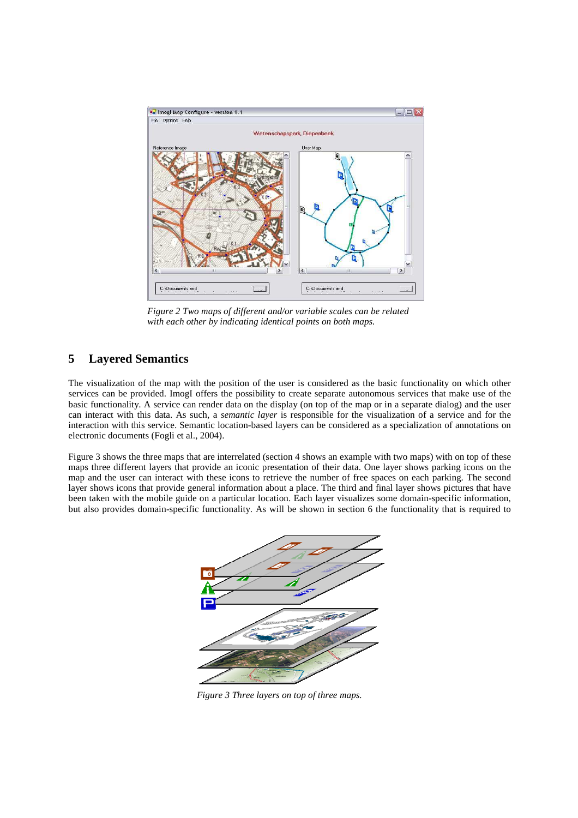

*Figure 2 Two maps of different and/or variable scales can be related with each other by indicating identical points on both maps.*

### **5 Layered Semantics**

The visualization of the map with the position of the user is considered as the basic functionality on which other services can be provided. ImogI offers the possibility to create separate autonomous services that make use of the basic functionality. A service can render data on the display (on top of the map or in a separate dialog) and the user can interact with this data. As such, a *semantic layer* is responsible for the visualization of a service and for the interaction with this service. Semantic location-based layers can be considered as a specialization of annotations on electronic documents (Fogli et al., 2004).

Figure 3 shows the three maps that are interrelated (section 4 shows an example with two maps) with on top of these maps three different layers that provide an iconic presentation of their data. One layer shows parking icons on the map and the user can interact with these icons to retrieve the number of free spaces on each parking. The second layer shows icons that provide general information about a place. The third and final layer shows pictures that have been taken with the mobile guide on a particular location. Each layer visualizes some domain-specific information, but also provides domain-specific functionality. As will be shown in section 6 the functionality that is required to



*Figure 3 Three layers on top of three maps.*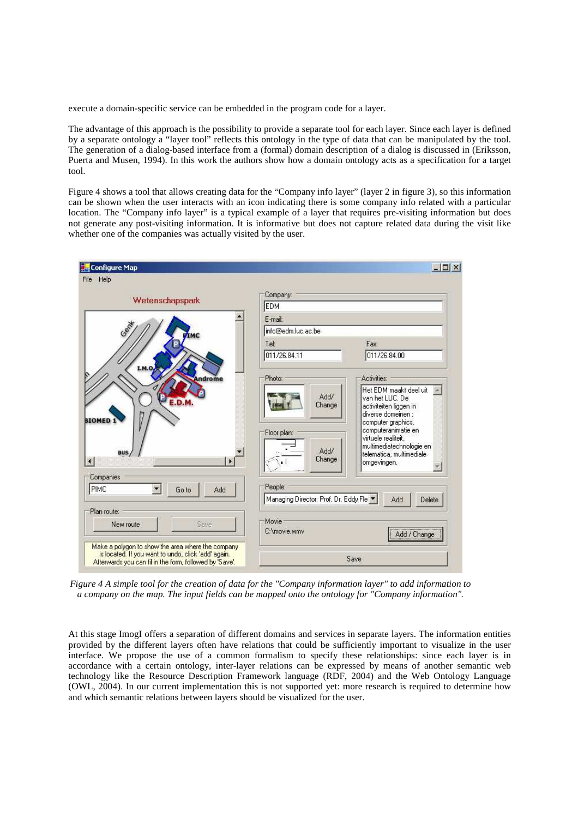execute a domain-specific service can be embedded in the program code for a layer.

The advantage of this approach is the possibility to provide a separate tool for each layer. Since each layer is defined by a separate ontology a "layer tool" reflects this ontology in the type of data that can be manipulated by the tool. The generation of a dialog-based interface from a (formal) domain description of a dialog is discussed in (Eriksson, Puerta and Musen, 1994). In this work the authors show how a domain ontology acts as a specification for a target tool.

Figure 4 shows a tool that allows creating data for the "Company info layer" (layer 2 in figure 3), so this information can be shown when the user interacts with an icon indicating there is some company info related with a particular location. The "Company info layer" is a typical example of a layer that requires pre-visiting information but does not generate any post-visiting information. It is informative but does not capture related data during the visit like whether one of the companies was actually visited by the user.



Figure 4 A simple tool for the creation of data for the "Company information layer" to add information to *a company on the map. The input fields can be mapped onto the ontology for "Company information".*

At this stage ImogI offers a separation of different domains and services in separate layers. The information entities provided by the different layers often have relations that could be sufficiently important to visualize in the user interface. We propose the use of a common formalism to specify these relationships: since each layer is in accordance with a certain ontology, inter-layer relations can be expressed by means of another semantic web technology like the Resource Description Framework language (RDF, 2004) and the Web Ontology Language (OWL, 2004). In our current implementation this is not supported yet: more research is required to determine how and which semantic relations between layers should be visualized for the user.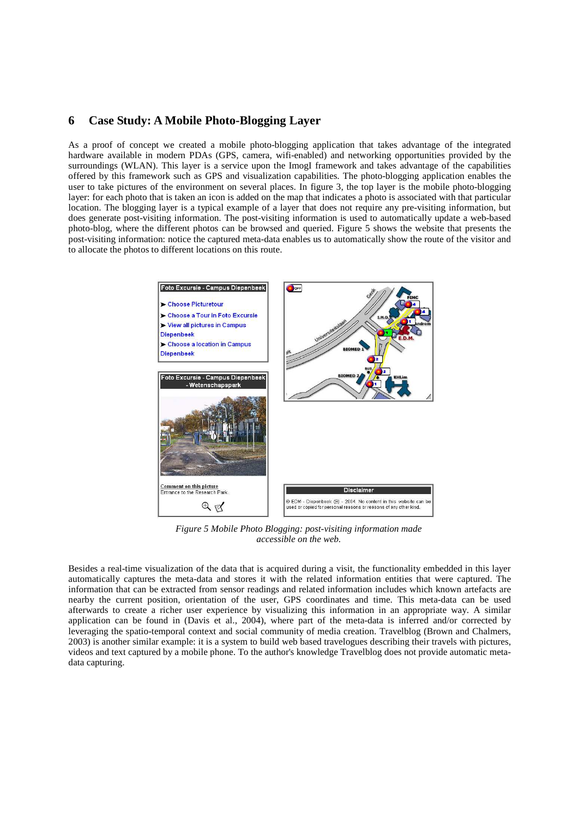### **6 Case Study: A Mobile Photo-Blogging Layer**

As a proof of concept we created a mobile photo-blogging application that takes advantage of the integrated hardware available in modern PDAs (GPS, camera, wifi-enabled) and networking opportunities provided by the surroundings (WLAN). This layer is a service upon the ImogI framework and takes advantage of the capabilities offered by this framework such as GPS and visualization capabilities. The photo-blogging application enables the user to take pictures of the environment on several places. In figure 3, the top layer is the mobile photo-blogging layer: for each photo that is taken an icon is added on the map that indicates a photo is associated with that particular location. The blogging layer is a typical example of a layer that does not require any pre-visiting information, but does generate post-visiting information. The post-visiting information is used to automatically update a web-based photo-blog, where the different photos can be browsed and queried. Figure 5 shows the website that presents the post-visiting information: notice the captured meta-data enables us to automatically show the route of the visitor and to allocate the photos to different locations on this route.



*Figure 5 Mobile Photo Blogging: post-visiting information made accessible on the web.*

Besides a real-time visualization of the data that is acquired during a visit, the functionality embedded in this layer automatically captures the meta-data and stores it with the related information entities that were captured. The information that can be extracted from sensor readings and related information includes which known artefacts are nearby the current position, orientation of the user, GPS coordinates and time. This meta-data can be used afterwards to create a richer user experience by visualizing this information in an appropriate way. A similar application can be found in (Davis et al., 2004), where part of the meta-data is inferred and/or corrected by leveraging the spatio-temporal context and social community of media creation. Travelblog (Brown and Chalmers, 2003) is another similar example: it is a system to build web based travelogues describing their travels with pictures, videos and text captured by a mobile phone. To the author's knowledge Travelblog does not provide automatic metadata capturing.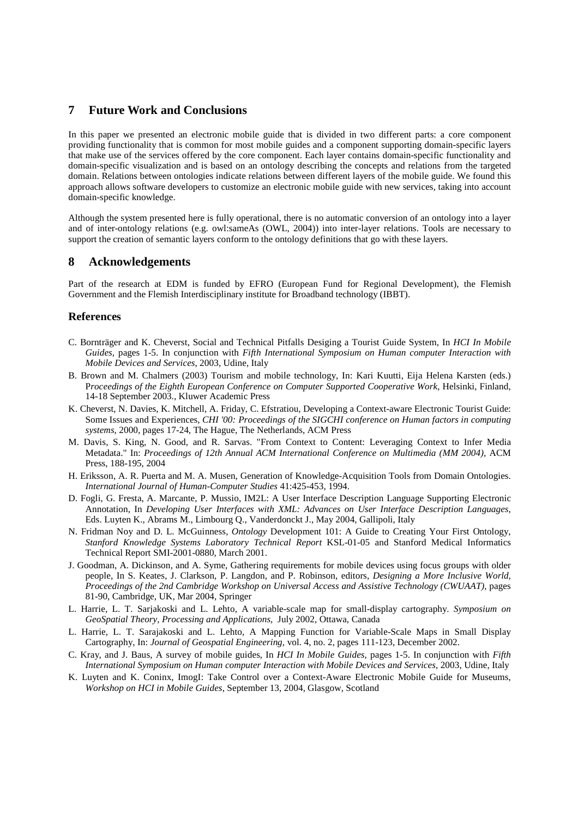#### **7 Future Work and Conclusions**

In this paper we presented an electronic mobile guide that is divided in two different parts: a core component providing functionality that is common for most mobile guides and a component supporting domain-specific layers that make use of the services offered by the core component. Each layer contains domain-specific functionality and domain-specific visualization and is based on an ontology describing the concepts and relations from the targeted domain. Relations between ontologies indicate relations between different layers of the mobile guide. We found this approach allows software developers to customize an electronic mobile guide with new services, taking into account domain-specific knowledge.

Although the system presented here is fully operational, there is no automatic conversion of an ontology into a layer and of inter-ontology relations (e.g. owl:sameAs (OWL, 2004)) into inter-layer relations. Tools are necessary to support the creation of semantic layers conform to the ontology definitions that go with these layers.

### **8 Acknowledgements**

Part of the research at EDM is funded by EFRO (European Fund for Regional Development), the Flemish Government and the Flemish Interdisciplinary institute for Broadband technology (IBBT).

#### **References**

- C. Bornträger and K. Cheverst, Social and Technical Pitfalls Desiging a Tourist Guide System, In *HCI In Mobile Guides*, pages 1-5. In conjunction with *Fifth International Symposium on Human computer Interaction with Mobile Devices and Services*, 2003, Udine, Italy
- B. Brown and M. Chalmers (2003) Tourism and mobile technology, In: Kari Kuutti, Eija Helena Karsten (eds.) P*roceedings of the Eighth European Conference on Computer Supported Cooperative Work*, Helsinki, Finland, 14-18 September 2003., Kluwer Academic Press
- K. Cheverst, N. Davies, K. Mitchell, A. Friday, C. Efstratiou, Developing a Context-aware Electronic Tourist Guide: Some Issues and Experiences, *CHI '00: Proceedings of the SIGCHI conference on Human factors in computing systems*, 2000, pages 17-24, The Hague, The Netherlands, ACM Press
- M. Davis, S. King, N. Good, and R. Sarvas. "From Context to Content: Leveraging Context to Infer Media Metadata." In: *Proceedings of 12th Annual ACM International Conference on Multimedia (MM 2004),* ACM Press, 188-195, 2004
- H. Eriksson, A. R. Puerta and M. A. Musen, Generation of Knowledge-Acquisition Tools from Domain Ontologies. *International Journal of Human-Computer Studies* 41:425-453, 1994.
- D. Fogli, G. Fresta, A. Marcante, P. Mussio, IM2L: A User Interface Description Language Supporting Electronic Annotation, In *Developing User Interfaces with XML: Advances on User Interface Description Languages*, Eds. Luyten K., Abrams M., Limbourg Q., Vanderdonckt J., May 2004, Gallipoli, Italy
- N. Fridman Noy and D. L. McGuinness, *Ontology* Development 101: A Guide to Creating Your First Ontology, *Stanford Knowledge Systems Laboratory Technical Report* KSL-01-05 and Stanford Medical Informatics Technical Report SMI-2001-0880, March 2001.
- J. Goodman, A. Dickinson, and A. Syme, Gathering requirements for mobile devices using focus groups with older people, In S. Keates, J. Clarkson, P. Langdon, and P. Robinson, editors, *Designing a More Inclusive World, Proceedings of the 2nd Cambridge Workshop on Universal Access and Assistive Technology (CWUAAT)*, pages 81-90, Cambridge, UK, Mar 2004, Springer
- L. Harrie, L. T. Sarjakoski and L. Lehto, A variable-scale map for small-display cartography. *Symposium on GeoSpatial Theory, Processing and Applications*, July 2002, Ottawa, Canada
- L. Harrie, L. T. Sarajakoski and L. Lehto, A Mapping Function for Variable-Scale Maps in Small Display Cartography, In: *Journal of Geospatial Engineering*, vol. 4, no. 2, pages 111-123, December 2002.
- C. Kray, and J. Baus, A survey of mobile guides, In *HCI In Mobile Guides*, pages 1-5. In conjunction with *Fifth International Symposium on Human computer Interaction with Mobile Devices and Services*, 2003, Udine, Italy
- K. Luyten and K. Coninx, ImogI: Take Control over a Context-Aware Electronic Mobile Guide for Museums, *Workshop on HCI in Mobile Guides*, September 13, 2004, Glasgow, Scotland